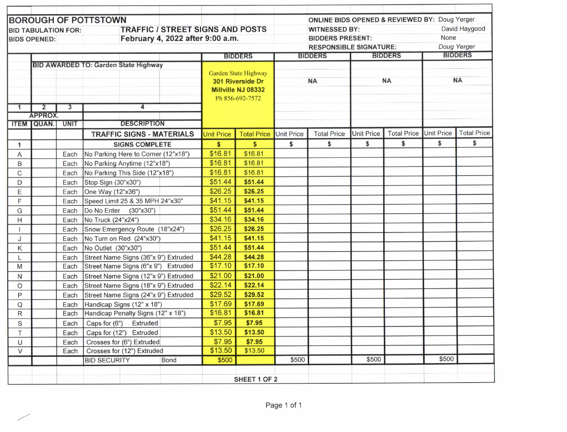| <b>BOROUGH OF POTTSTOWN</b><br><b>TRAFFIC / STREET SIGNS AND POSTS</b><br><b>BID TABULATION FOR:</b> |                     |                                   |                                             |                   |                    |                               | <b>ONLINE BIDS OPENED &amp; REVIEWED BY: Doug Yerger</b><br><b>WITNESSED BY:</b> |                   |                    |             | David Haygood      |  |
|------------------------------------------------------------------------------------------------------|---------------------|-----------------------------------|---------------------------------------------|-------------------|--------------------|-------------------------------|----------------------------------------------------------------------------------|-------------------|--------------------|-------------|--------------------|--|
|                                                                                                      | <b>BIDS OPENED:</b> |                                   | February 4, 2022 after 9:00 a.m.            |                   |                    | <b>BIDDERS PRESENT:</b>       |                                                                                  |                   |                    | None        |                    |  |
|                                                                                                      |                     |                                   |                                             |                   |                    | <b>RESPONSIBLE SIGNATURE:</b> |                                                                                  |                   |                    | Doug Yerger |                    |  |
|                                                                                                      |                     |                                   |                                             | <b>BIDDERS</b>    |                    | <b>BIDDERS</b>                |                                                                                  |                   | <b>BIDDERS</b>     |             | <b>BIDDERS</b>     |  |
|                                                                                                      |                     |                                   | <b>BID AWARDED TO: Garden State Highway</b> |                   |                    |                               |                                                                                  |                   |                    |             |                    |  |
|                                                                                                      |                     |                                   | <b>Garden State Highway</b>                 |                   |                    |                               |                                                                                  |                   |                    |             |                    |  |
|                                                                                                      |                     |                                   |                                             | 301 Riverside Dr  |                    | <b>NA</b>                     |                                                                                  | <b>NA</b>         |                    | <b>NA</b>   |                    |  |
|                                                                                                      |                     |                                   |                                             |                   | Millville NJ 08332 |                               |                                                                                  |                   |                    |             |                    |  |
|                                                                                                      |                     | $\overline{3}$                    | 4                                           | Ph 856-692-7572   |                    |                               |                                                                                  |                   |                    |             |                    |  |
|                                                                                                      | 2<br>1<br>APPROX.   |                                   |                                             |                   |                    |                               |                                                                                  |                   |                    |             |                    |  |
|                                                                                                      | <b>ITEM QUAN.</b>   | <b>DESCRIPTION</b><br><b>UNIT</b> |                                             |                   |                    |                               |                                                                                  |                   |                    |             |                    |  |
|                                                                                                      |                     |                                   | <b>TRAFFIC SIGNS - MATERIALS</b>            | <b>Unit Price</b> | <b>Total Price</b> | <b>Unit Price</b>             | <b>Total Price</b>                                                               | <b>Unit Price</b> | <b>Total Price</b> | Unit Price  | <b>Total Price</b> |  |
| 1                                                                                                    |                     |                                   | <b>SIGNS COMPLETE</b>                       | \$                | \$                 | \$                            | \$                                                                               | \$                | \$                 | \$          | \$                 |  |
| A                                                                                                    |                     | Each                              | No Parking Here to Corner (12"x18")         | \$16.81           | \$16.81            |                               |                                                                                  |                   |                    |             |                    |  |
| B                                                                                                    |                     | Each                              | No Parking Anytime (12"x18")                | \$16.81           | \$16.81            |                               |                                                                                  |                   |                    |             |                    |  |
| C                                                                                                    |                     | Each                              | No Parking This Side (12"x18")              | \$16.81           | \$16.81            |                               |                                                                                  |                   |                    |             |                    |  |
| D                                                                                                    |                     | Each                              | Stop Sign (30"x30")                         | \$51.44           | \$51.44            |                               |                                                                                  |                   |                    |             |                    |  |
| Е                                                                                                    |                     | Each                              | One Way (12"x36")                           | \$26.25           | \$26.25            |                               |                                                                                  |                   |                    |             |                    |  |
| F                                                                                                    |                     | Each                              | Speed Limit 25 & 35 MPH 24"x30"             | \$41.15           | \$41.15            |                               |                                                                                  |                   |                    |             |                    |  |
| G                                                                                                    |                     | Each                              | Do No Enter<br>(30"x30")                    | \$51.44           | \$51.44            |                               |                                                                                  |                   |                    |             |                    |  |
| Н                                                                                                    |                     | Each                              | No Truck (24"x24")                          | \$34.16           | \$34.16            |                               |                                                                                  |                   |                    |             |                    |  |
|                                                                                                      |                     | Each                              | Snow Emergency Route (18"x24")              | \$26.25           | \$26.25            |                               |                                                                                  |                   |                    |             |                    |  |
| J                                                                                                    |                     | Each                              | No Turn on Red (24"x30")                    | \$41.15           | \$41.15            |                               |                                                                                  |                   |                    |             |                    |  |
| Κ                                                                                                    |                     | Each                              | No Outlet (30"x30")                         | \$51.44           | \$51.44            |                               |                                                                                  |                   |                    |             |                    |  |
| L                                                                                                    |                     | Each                              | Street Name Signs (36"x 9") Extruded        | \$44.28           | \$44.28            |                               |                                                                                  |                   |                    |             |                    |  |
| M                                                                                                    |                     | Each                              | Street Name Signs (6"x 9")<br>Extruded      | \$17.10           | \$17.10            |                               |                                                                                  |                   |                    |             |                    |  |
| N                                                                                                    |                     | Each                              | Street Name Signs (12"x 9") Extruded        | \$21.00           | \$21.00            |                               |                                                                                  |                   |                    |             |                    |  |
| $\circ$                                                                                              |                     | Each                              | Street Name Signs (18"x 9") Extruded        | \$22.14           | \$22.14            |                               |                                                                                  |                   |                    |             |                    |  |
| Ρ                                                                                                    |                     | Each                              | Street Name Signs (24"x 9") Extruded        | \$29.52           | \$29.52            |                               |                                                                                  |                   |                    |             |                    |  |
| Q                                                                                                    |                     | Each                              | Handicap Signs (12" x 18")                  | \$17.69           | \$17.69            |                               |                                                                                  |                   |                    |             |                    |  |
| R                                                                                                    |                     | Each                              | Handicap Penalty Signs (12" x 18")          | \$16.81           | \$16.81            |                               |                                                                                  |                   |                    |             |                    |  |
| S                                                                                                    |                     | Each                              | Caps for (6") Extruded                      | \$7.95            | \$7.95             |                               |                                                                                  |                   |                    |             |                    |  |
| Τ                                                                                                    |                     | Each                              | Caps for (12") Extruded                     | \$13.50           | \$13.50            |                               |                                                                                  |                   |                    |             |                    |  |
| U                                                                                                    |                     | Each                              | Crosses for (6") Extruded                   | \$7.95            | \$7.95             |                               |                                                                                  |                   |                    |             |                    |  |
| $\vee$                                                                                               |                     | Each                              | Crosses for (12") Extruded                  | \$13.50           | \$13.50            |                               |                                                                                  |                   |                    |             |                    |  |
|                                                                                                      |                     |                                   | <b>BID SECURITY</b><br><b>Bond</b>          | \$500             |                    | \$500                         |                                                                                  | \$500             |                    | \$500       |                    |  |